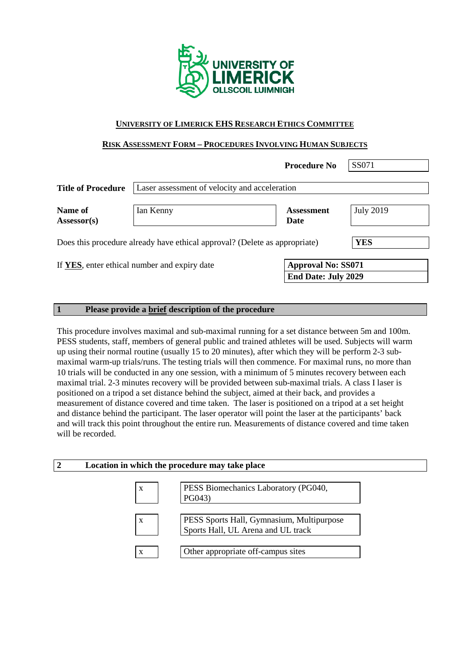

#### **UNIVERSITY OF LIMERICK EHS RESEARCH ETHICS COMMITTEE**

### **RISK ASSESSMENT FORM – PROCEDURES INVOLVING HUMAN SUBJECTS**

|                                                                                   |                                                                                                         | <b>Procedure No</b>       | SS071            |  |  |
|-----------------------------------------------------------------------------------|---------------------------------------------------------------------------------------------------------|---------------------------|------------------|--|--|
| <b>Title of Procedure</b>                                                         | Laser assessment of velocity and acceleration                                                           |                           |                  |  |  |
| Name of<br>Assessor(s)                                                            | Ian Kenny                                                                                               | <b>Assessment</b><br>Date | <b>July 2019</b> |  |  |
| YES<br>Does this procedure already have ethical approval? (Delete as appropriate) |                                                                                                         |                           |                  |  |  |
|                                                                                   | <b>Approval No: SS071</b><br>If YES, enter ethical number and expiry date<br><b>End Date: July 2029</b> |                           |                  |  |  |

#### **1 Please provide a brief description of the procedure**

This procedure involves maximal and sub-maximal running for a set distance between 5m and 100m. PESS students, staff, members of general public and trained athletes will be used. Subjects will warm up using their normal routine (usually 15 to 20 minutes), after which they will be perform 2-3 submaximal warm-up trials/runs. The testing trials will then commence. For maximal runs, no more than 10 trials will be conducted in any one session, with a minimum of 5 minutes recovery between each maximal trial. 2-3 minutes recovery will be provided between sub-maximal trials. A class I laser is positioned on a tripod a set distance behind the subject, aimed at their back, and provides a measurement of distance covered and time taken. The laser is positioned on a tripod at a set height and distance behind the participant. The laser operator will point the laser at the participants' back and will track this point throughout the entire run. Measurements of distance covered and time taken will be recorded.

| $\overline{2}$ | Location in which the procedure may take place |                                                                                 |  |
|----------------|------------------------------------------------|---------------------------------------------------------------------------------|--|
|                | X                                              | PESS Biomechanics Laboratory (PG040,<br>PG043)                                  |  |
|                | X                                              | PESS Sports Hall, Gymnasium, Multipurpose<br>Sports Hall, UL Arena and UL track |  |
|                | X                                              | Other appropriate off-campus sites                                              |  |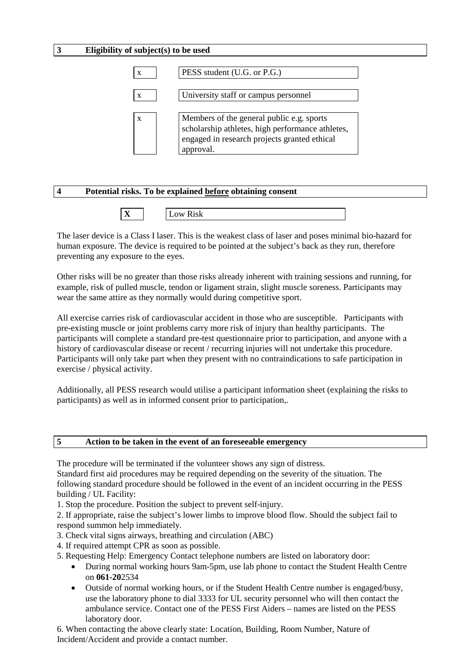#### **3 Eligibility of subject(s) to be used**

| PESS student (U.G. or P.G.)                                                                                                                                |
|------------------------------------------------------------------------------------------------------------------------------------------------------------|
| University staff or campus personnel                                                                                                                       |
| Members of the general public e.g. sports<br>scholarship athletes, high performance athletes,<br>engaged in research projects granted ethical<br>approval. |

| Potential risks. To be explained before obtaining consent |
|-----------------------------------------------------------|
|                                                           |

| . .<br> |
|---------|
|---------|

The laser device is a Class I laser. This is the weakest class of laser and poses minimal bio-hazard for human exposure. The device is required to be pointed at the subject's back as they run, therefore preventing any exposure to the eyes.

Other risks will be no greater than those risks already inherent with training sessions and running, for example, risk of pulled muscle, tendon or ligament strain, slight muscle soreness. Participants may wear the same attire as they normally would during competitive sport.

All exercise carries risk of cardiovascular accident in those who are susceptible. Participants with pre-existing muscle or joint problems carry more risk of injury than healthy participants. The participants will complete a standard pre-test questionnaire prior to participation, and anyone with a history of cardiovascular disease or recent / recurring injuries will not undertake this procedure. Participants will only take part when they present with no contraindications to safe participation in exercise / physical activity.

Additionally, all PESS research would utilise a participant information sheet (explaining the risks to participants) as well as in informed consent prior to participation,.

#### **5 Action to be taken in the event of an foreseeable emergency**

The procedure will be terminated if the volunteer shows any sign of distress.

Standard first aid procedures may be required depending on the severity of the situation. The following standard procedure should be followed in the event of an incident occurring in the PESS building / UL Facility:

1. Stop the procedure. Position the subject to prevent self-injury.

2. If appropriate, raise the subject's lower limbs to improve blood flow. Should the subject fail to respond summon help immediately.

- 3. Check vital signs airways, breathing and circulation (ABC)
- 4. If required attempt CPR as soon as possible.

5. Requesting Help: Emergency Contact telephone numbers are listed on laboratory door:

- During normal working hours 9am-5pm, use lab phone to contact the Student Health Centre on **061-20**2534
- Outside of normal working hours, or if the Student Health Centre number is engaged/busy, use the laboratory phone to dial 3333 for UL security personnel who will then contact the ambulance service. Contact one of the PESS First Aiders – names are listed on the PESS laboratory door.

6. When contacting the above clearly state: Location, Building, Room Number, Nature of Incident/Accident and provide a contact number.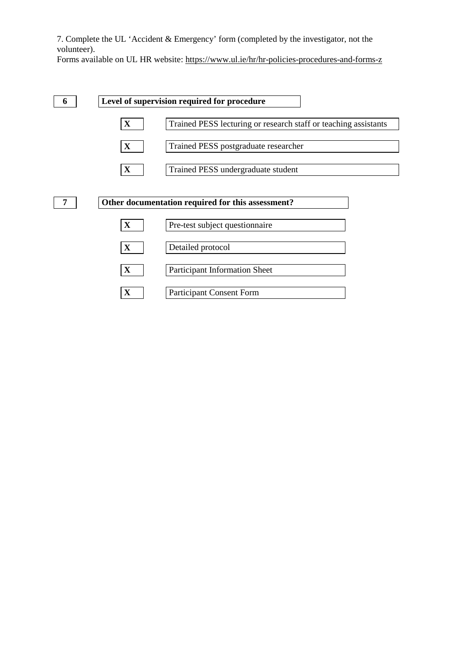7. Complete the UL 'Accident & Emergency' form (completed by the investigator, not the volunteer).

Forms available on UL HR website:<https://www.ul.ie/hr/hr-policies-procedures-and-forms-z>